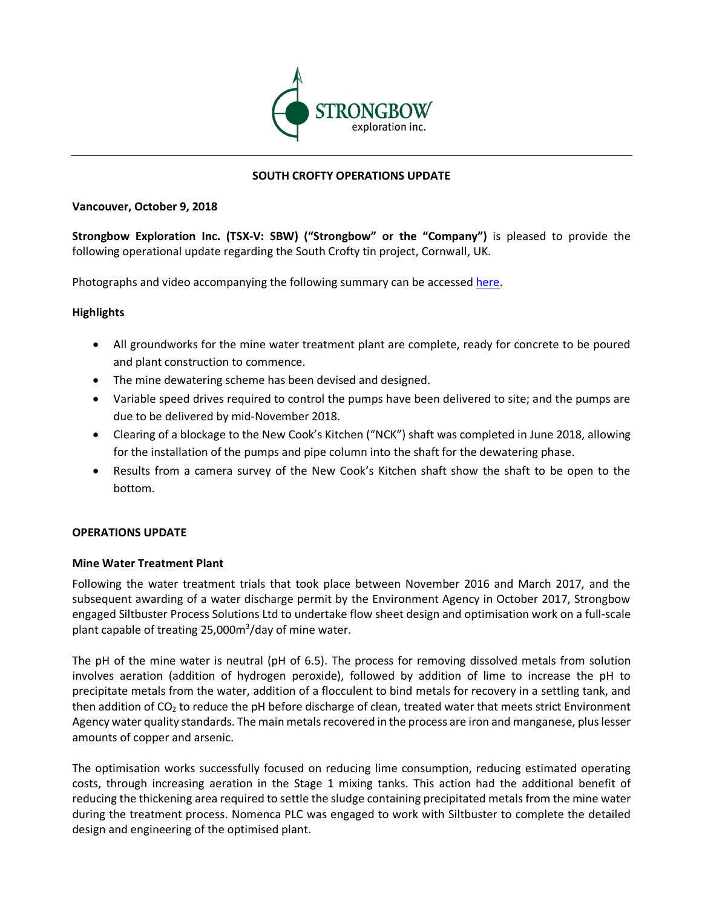

# **SOUTH CROFTY OPERATIONS UPDATE**

#### **Vancouver, October 9, 2018**

**Strongbow Exploration Inc. (TSX-V: SBW) ("Strongbow" or the "Company")** is pleased to provide the following operational update regarding the South Crofty tin project, Cornwall, UK.

Photographs and video accompanying the following summary can be accessed here.

## **Highlights**

- All groundworks for the mine water treatment plant are complete, ready for concrete to be poured and plant construction to commence.
- The mine dewatering scheme has been devised and designed.
- Variable speed drives required to control the pumps have been delivered to site; and the pumps are due to be delivered by mid-November 2018.
- Clearing of a blockage to the New Cook's Kitchen ("NCK") shaft was completed in June 2018, allowing for the installation of the pumps and pipe column into the shaft for the dewatering phase.
- Results from a camera survey of the New Cook's Kitchen shaft show the shaft to be open to the bottom.

## **OPERATIONS UPDATE**

## **Mine Water Treatment Plant**

Following the water treatment trials that took place between November 2016 and March 2017, and the subsequent awarding of a water discharge permit by the Environment Agency in October 2017, Strongbow engaged Siltbuster Process Solutions Ltd to undertake flow sheet design and optimisation work on a full-scale plant capable of treating 25,000m<sup>3</sup>/day of mine water.

The pH of the mine water is neutral (pH of 6.5). The process for removing dissolved metals from solution involves aeration (addition of hydrogen peroxide), followed by addition of lime to increase the pH to precipitate metals from the water, addition of a flocculent to bind metals for recovery in a settling tank, and then addition of  $CO<sub>2</sub>$  to reduce the pH before discharge of clean, treated water that meets strict Environment Agency water quality standards. The main metals recovered in the process are iron and manganese, plus lesser amounts of copper and arsenic.

The optimisation works successfully focused on reducing lime consumption, reducing estimated operating costs, through increasing aeration in the Stage 1 mixing tanks. This action had the additional benefit of reducing the thickening area required to settle the sludge containing precipitated metals from the mine water during the treatment process. Nomenca PLC was engaged to work with Siltbuster to complete the detailed design and engineering of the optimised plant.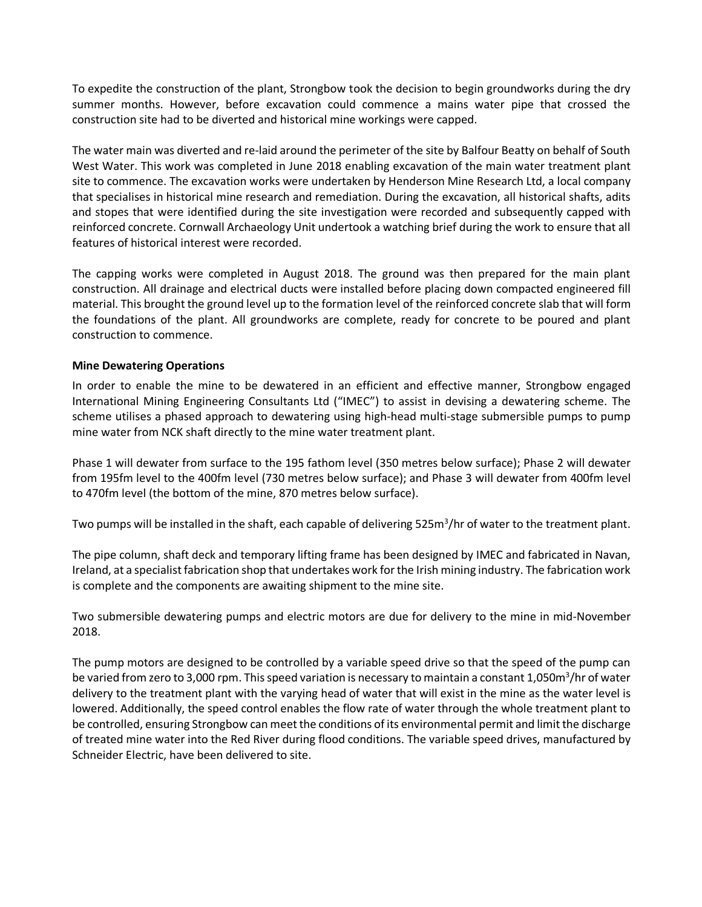To expedite the construction of the plant, Strongbow took the decision to begin groundworks during the dry summer months. However, before excavation could commence a mains water pipe that crossed the construction site had to be diverted and historical mine workings were capped.

The water main was diverted and re-laid around the perimeter of the site by Balfour Beatty on behalf of South West Water. This work was completed in June 2018 enabling excavation of the main water treatment plant site to commence. The excavation works were undertaken by Henderson Mine Research Ltd, a local company that specialises in historical mine research and remediation. During the excavation, all historical shafts, adits and stopes that were identified during the site investigation were recorded and subsequently capped with reinforced concrete. Cornwall Archaeology Unit undertook a watching brief during the work to ensure that all features of historical interest were recorded.

The capping works were completed in August 2018. The ground was then prepared for the main plant construction. All drainage and electrical ducts were installed before placing down compacted engineered fill material. This brought the ground level up to the formation level of the reinforced concrete slab that will form the foundations of the plant. All groundworks are complete, ready for concrete to be poured and plant construction to commence.

## **Mine Dewatering Operations**

In order to enable the mine to be dewatered in an efficient and effective manner, Strongbow engaged International Mining Engineering Consultants Ltd ("IMEC") to assist in devising a dewatering scheme. The scheme utilises a phased approach to dewatering using high-head multi-stage submersible pumps to pump mine water from NCK shaft directly to the mine water treatment plant.

Phase 1 will dewater from surface to the 195 fathom level (350 metres below surface); Phase 2 will dewater from 195fm level to the 400fm level (730 metres below surface); and Phase 3 will dewater from 400fm level to 470fm level (the bottom of the mine, 870 metres below surface).

Two pumps will be installed in the shaft, each capable of delivering 525m<sup>3</sup>/hr of water to the treatment plant.

The pipe column, shaft deck and temporary lifting frame has been designed by IMEC and fabricated in Navan, Ireland, at a specialist fabrication shop that undertakes work for the Irish mining industry. The fabrication work is complete and the components are awaiting shipment to the mine site.

Two submersible dewatering pumps and electric motors are due for delivery to the mine in mid-November 2018.

The pump motors are designed to be controlled by a variable speed drive so that the speed of the pump can be varied from zero to 3,000 rpm. This speed variation is necessary to maintain a constant 1,050m<sup>3</sup>/hr of water delivery to the treatment plant with the varying head of water that will exist in the mine as the water level is lowered. Additionally, the speed control enables the flow rate of water through the whole treatment plant to be controlled, ensuring Strongbow can meet the conditions of its environmental permit and limit the discharge of treated mine water into the Red River during flood conditions. The variable speed drives, manufactured by Schneider Electric, have been delivered to site.